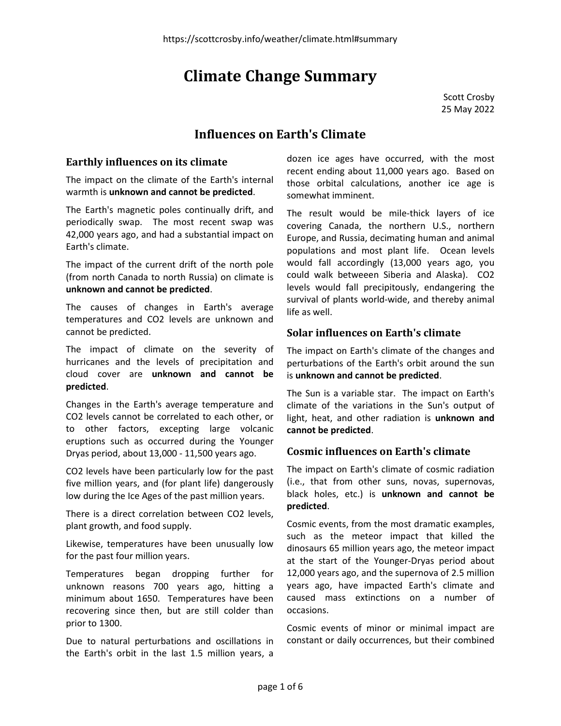# Climate Change Summary

Scott Crosby 25 May 2022

# Influences on Earth's Climate

### Earthly influences on its climate

The impact on the climate of the Earth's internal warmth is unknown and cannot be predicted.

The Earth's magnetic poles continually drift, and periodically swap. The most recent swap was 42,000 years ago, and had a substantial impact on Earth's climate.

The impact of the current drift of the north pole (from north Canada to north Russia) on climate is unknown and cannot be predicted.

The causes of changes in Earth's average temperatures and CO2 levels are unknown and cannot be predicted.

The impact of climate on the severity of hurricanes and the levels of precipitation and cloud cover are unknown and cannot be predicted.

Changes in the Earth's average temperature and CO2 levels cannot be correlated to each other, or to other factors, excepting large volcanic eruptions such as occurred during the Younger Dryas period, about 13,000 - 11,500 years ago.

CO2 levels have been particularly low for the past five million years, and (for plant life) dangerously low during the Ice Ages of the past million years.

There is a direct correlation between CO2 levels, plant growth, and food supply.

Likewise, temperatures have been unusually low for the past four million years.

Temperatures began dropping further for unknown reasons 700 years ago, hitting a minimum about 1650. Temperatures have been recovering since then, but are still colder than prior to 1300.

Due to natural perturbations and oscillations in the Earth's orbit in the last 1.5 million years, a

dozen ice ages have occurred, with the most recent ending about 11,000 years ago. Based on those orbital calculations, another ice age is somewhat imminent.

The result would be mile-thick layers of ice covering Canada, the northern U.S., northern Europe, and Russia, decimating human and animal populations and most plant life. Ocean levels would fall accordingly (13,000 years ago, you could walk betweeen Siberia and Alaska). CO2 levels would fall precipitously, endangering the survival of plants world-wide, and thereby animal life as well.

### Solar influences on Earth's climate

The impact on Earth's climate of the changes and perturbations of the Earth's orbit around the sun is unknown and cannot be predicted.

The Sun is a variable star. The impact on Earth's climate of the variations in the Sun's output of light, heat, and other radiation is unknown and cannot be predicted.

### Cosmic influences on Earth's climate

The impact on Earth's climate of cosmic radiation (i.e., that from other suns, novas, supernovas, black holes, etc.) is unknown and cannot be predicted.

Cosmic events, from the most dramatic examples, such as the meteor impact that killed the dinosaurs 65 million years ago, the meteor impact at the start of the Younger-Dryas period about 12,000 years ago, and the supernova of 2.5 million years ago, have impacted Earth's climate and caused mass extinctions on a number of occasions.

Cosmic events of minor or minimal impact are constant or daily occurrences, but their combined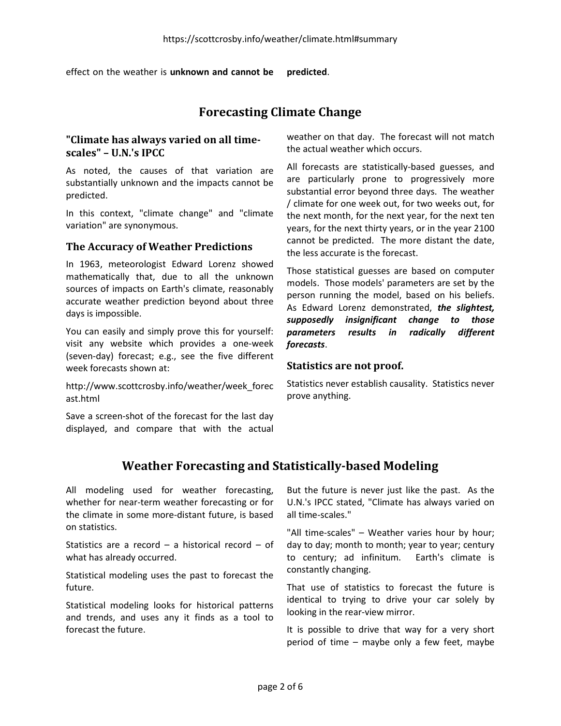effect on the weather is **unknown and cannot be predicted.** 

# Forecasting Climate Change

### "Climate has always varied on all timescales" – U.N.'s IPCC

As noted, the causes of that variation are substantially unknown and the impacts cannot be predicted.

In this context, "climate change" and "climate variation" are synonymous.

#### The Accuracy of Weather Predictions

In 1963, meteorologist Edward Lorenz showed mathematically that, due to all the unknown sources of impacts on Earth's climate, reasonably accurate weather prediction beyond about three days is impossible.

You can easily and simply prove this for yourself: visit any website which provides a one-week (seven-day) forecast; e.g., see the five different week forecasts shown at:

http://www.scottcrosby.info/weather/week\_forec ast.html

Save a screen-shot of the forecast for the last day displayed, and compare that with the actual weather on that day. The forecast will not match the actual weather which occurs.

All forecasts are statistically-based guesses, and are particularly prone to progressively more substantial error beyond three days. The weather / climate for one week out, for two weeks out, for the next month, for the next year, for the next ten years, for the next thirty years, or in the year 2100 cannot be predicted. The more distant the date, the less accurate is the forecast.

Those statistical guesses are based on computer models. Those models' parameters are set by the person running the model, based on his beliefs. As Edward Lorenz demonstrated, the slightest, supposedly insignificant change to those parameters results in radically different forecasts.

#### Statistics are not proof.

Statistics never establish causality. Statistics never prove anything.

# Weather Forecasting and Statistically-based Modeling

All modeling used for weather forecasting, whether for near-term weather forecasting or for the climate in some more-distant future, is based on statistics.

Statistics are a record – a historical record – of what has already occurred.

Statistical modeling uses the past to forecast the future.

Statistical modeling looks for historical patterns and trends, and uses any it finds as a tool to forecast the future.

But the future is never just like the past. As the U.N.'s IPCC stated, "Climate has always varied on all time-scales."

"All time-scales" – Weather varies hour by hour; day to day; month to month; year to year; century to century; ad infinitum. Earth's climate is constantly changing.

That use of statistics to forecast the future is identical to trying to drive your car solely by looking in the rear-view mirror.

It is possible to drive that way for a very short period of time – maybe only a few feet, maybe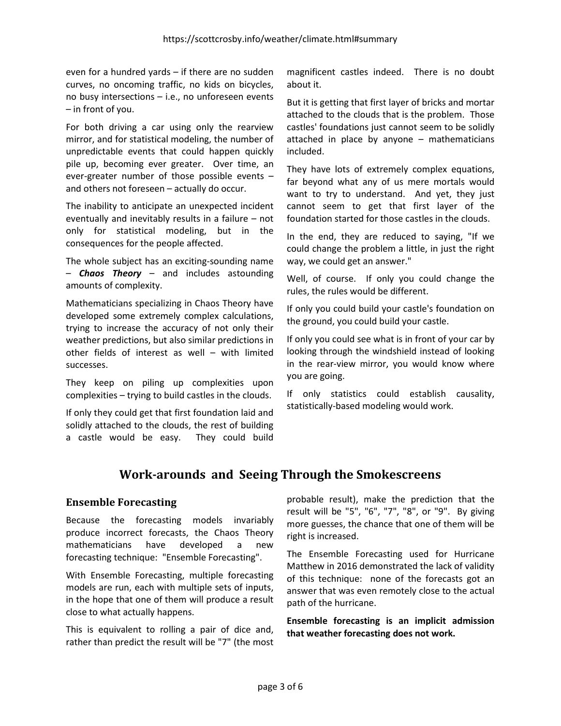even for a hundred yards – if there are no sudden curves, no oncoming traffic, no kids on bicycles, no busy intersections – i.e., no unforeseen events – in front of you.

For both driving a car using only the rearview mirror, and for statistical modeling, the number of unpredictable events that could happen quickly pile up, becoming ever greater. Over time, an ever-greater number of those possible events – and others not foreseen – actually do occur.

The inability to anticipate an unexpected incident eventually and inevitably results in a failure – not only for statistical modeling, but in the consequences for the people affected.

The whole subject has an exciting-sounding name - **Chaos Theory** - and includes astounding amounts of complexity.

Mathematicians specializing in Chaos Theory have developed some extremely complex calculations, trying to increase the accuracy of not only their weather predictions, but also similar predictions in other fields of interest as well – with limited successes.

They keep on piling up complexities upon complexities – trying to build castles in the clouds.

If only they could get that first foundation laid and solidly attached to the clouds, the rest of building a castle would be easy. They could build magnificent castles indeed. There is no doubt about it.

But it is getting that first layer of bricks and mortar attached to the clouds that is the problem. Those castles' foundations just cannot seem to be solidly attached in place by anyone – mathematicians included.

They have lots of extremely complex equations, far beyond what any of us mere mortals would want to try to understand. And yet, they just cannot seem to get that first layer of the foundation started for those castles in the clouds.

In the end, they are reduced to saying, "If we could change the problem a little, in just the right way, we could get an answer."

Well, of course. If only you could change the rules, the rules would be different.

If only you could build your castle's foundation on the ground, you could build your castle.

If only you could see what is in front of your car by looking through the windshield instead of looking in the rear-view mirror, you would know where you are going.

If only statistics could establish causality, statistically-based modeling would work.

# Work-arounds and Seeing Through the Smokescreens

### Ensemble Forecasting

Because the forecasting models invariably produce incorrect forecasts, the Chaos Theory mathematicians have developed a new forecasting technique: "Ensemble Forecasting".

With Ensemble Forecasting, multiple forecasting models are run, each with multiple sets of inputs, in the hope that one of them will produce a result close to what actually happens.

This is equivalent to rolling a pair of dice and, rather than predict the result will be "7" (the most probable result), make the prediction that the result will be "5", "6", "7", "8", or "9". By giving more guesses, the chance that one of them will be right is increased.

The Ensemble Forecasting used for Hurricane Matthew in 2016 demonstrated the lack of validity of this technique: none of the forecasts got an answer that was even remotely close to the actual path of the hurricane.

Ensemble forecasting is an implicit admission that weather forecasting does not work.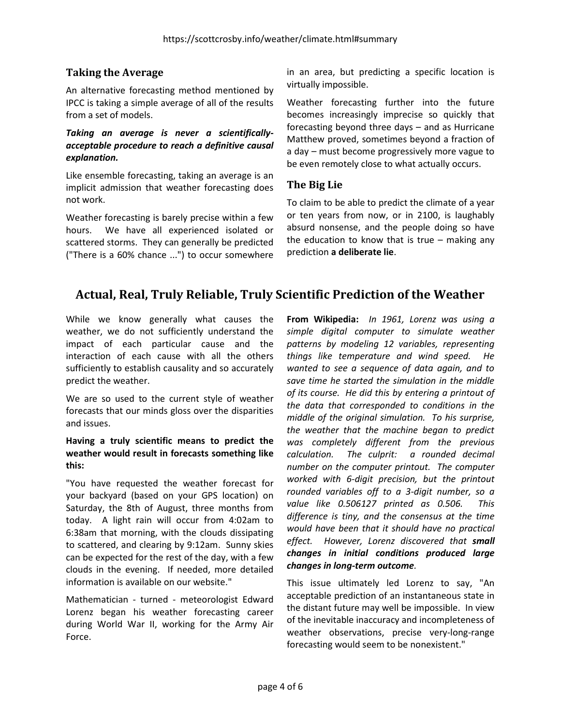### Taking the Average

An alternative forecasting method mentioned by IPCC is taking a simple average of all of the results from a set of models.

#### Taking an average is never a scientificallyacceptable procedure to reach a definitive causal explanation.

Like ensemble forecasting, taking an average is an implicit admission that weather forecasting does not work.

Weather forecasting is barely precise within a few hours. We have all experienced isolated or scattered storms. They can generally be predicted ("There is a 60% chance ...") to occur somewhere in an area, but predicting a specific location is virtually impossible.

Weather forecasting further into the future becomes increasingly imprecise so quickly that forecasting beyond three days – and as Hurricane Matthew proved, sometimes beyond a fraction of a day – must become progressively more vague to be even remotely close to what actually occurs.

### The Big Lie

To claim to be able to predict the climate of a year or ten years from now, or in 2100, is laughably absurd nonsense, and the people doing so have the education to know that is true  $-$  making any prediction a deliberate lie.

# Actual, Real, Truly Reliable, Truly Scientific Prediction of the Weather

While we know generally what causes the weather, we do not sufficiently understand the impact of each particular cause and the interaction of each cause with all the others sufficiently to establish causality and so accurately predict the weather.

We are so used to the current style of weather forecasts that our minds gloss over the disparities and issues.

#### Having a truly scientific means to predict the weather would result in forecasts something like this:

"You have requested the weather forecast for your backyard (based on your GPS location) on Saturday, the 8th of August, three months from today. A light rain will occur from 4:02am to 6:38am that morning, with the clouds dissipating to scattered, and clearing by 9:12am. Sunny skies can be expected for the rest of the day, with a few clouds in the evening. If needed, more detailed information is available on our website."

Mathematician - turned - meteorologist Edward Lorenz began his weather forecasting career during World War II, working for the Army Air Force.

From Wikipedia: In 1961, Lorenz was using a simple digital computer to simulate weather patterns by modeling 12 variables, representing things like temperature and wind speed. He wanted to see a sequence of data again, and to save time he started the simulation in the middle of its course. He did this by entering a printout of the data that corresponded to conditions in the middle of the original simulation. To his surprise, the weather that the machine began to predict was completely different from the previous calculation. The culprit: a rounded decimal number on the computer printout. The computer worked with 6-digit precision, but the printout rounded variables off to a 3-digit number, so a value like 0.506127 printed as 0.506. This difference is tiny, and the consensus at the time would have been that it should have no practical effect. However, Lorenz discovered that small changes in initial conditions produced large changes in long-term outcome.

This issue ultimately led Lorenz to say, "An acceptable prediction of an instantaneous state in the distant future may well be impossible. In view of the inevitable inaccuracy and incompleteness of weather observations, precise very-long-range forecasting would seem to be nonexistent."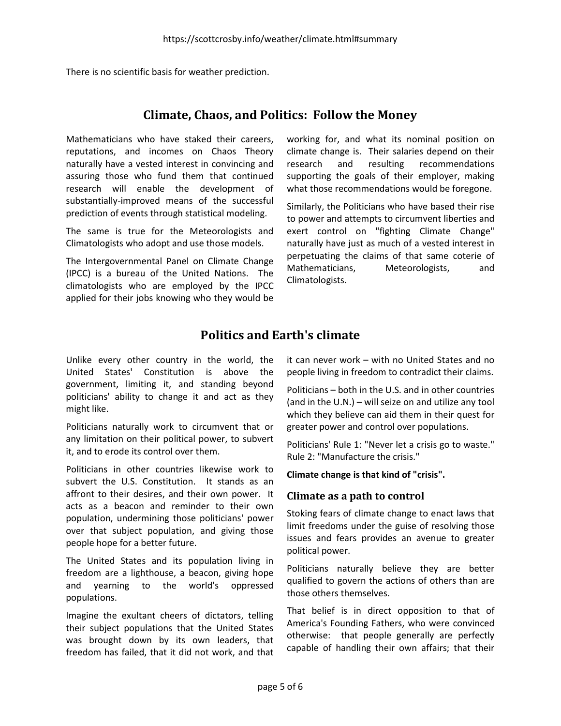There is no scientific basis for weather prediction.

### Climate, Chaos, and Politics: Follow the Money

Mathematicians who have staked their careers, reputations, and incomes on Chaos Theory naturally have a vested interest in convincing and assuring those who fund them that continued research will enable the development of substantially-improved means of the successful prediction of events through statistical modeling.

The same is true for the Meteorologists and Climatologists who adopt and use those models.

The Intergovernmental Panel on Climate Change (IPCC) is a bureau of the United Nations. The climatologists who are employed by the IPCC applied for their jobs knowing who they would be working for, and what its nominal position on climate change is. Their salaries depend on their research and resulting recommendations supporting the goals of their employer, making what those recommendations would be foregone.

Similarly, the Politicians who have based their rise to power and attempts to circumvent liberties and exert control on "fighting Climate Change" naturally have just as much of a vested interest in perpetuating the claims of that same coterie of Mathematicians, Meteorologists, and Climatologists.

# Politics and Earth's climate

Unlike every other country in the world, the United States' Constitution is above the government, limiting it, and standing beyond politicians' ability to change it and act as they might like.

Politicians naturally work to circumvent that or any limitation on their political power, to subvert it, and to erode its control over them.

Politicians in other countries likewise work to subvert the U.S. Constitution. It stands as an affront to their desires, and their own power. It acts as a beacon and reminder to their own population, undermining those politicians' power over that subject population, and giving those people hope for a better future.

The United States and its population living in freedom are a lighthouse, a beacon, giving hope and yearning to the world's oppressed populations.

Imagine the exultant cheers of dictators, telling their subject populations that the United States was brought down by its own leaders, that freedom has failed, that it did not work, and that it can never work – with no United States and no people living in freedom to contradict their claims.

Politicians – both in the U.S. and in other countries (and in the U.N.) – will seize on and utilize any tool which they believe can aid them in their quest for greater power and control over populations.

Politicians' Rule 1: "Never let a crisis go to waste." Rule 2: "Manufacture the crisis."

#### Climate change is that kind of "crisis".

#### Climate as a path to control

Stoking fears of climate change to enact laws that limit freedoms under the guise of resolving those issues and fears provides an avenue to greater political power.

Politicians naturally believe they are better qualified to govern the actions of others than are those others themselves.

That belief is in direct opposition to that of America's Founding Fathers, who were convinced otherwise: that people generally are perfectly capable of handling their own affairs; that their